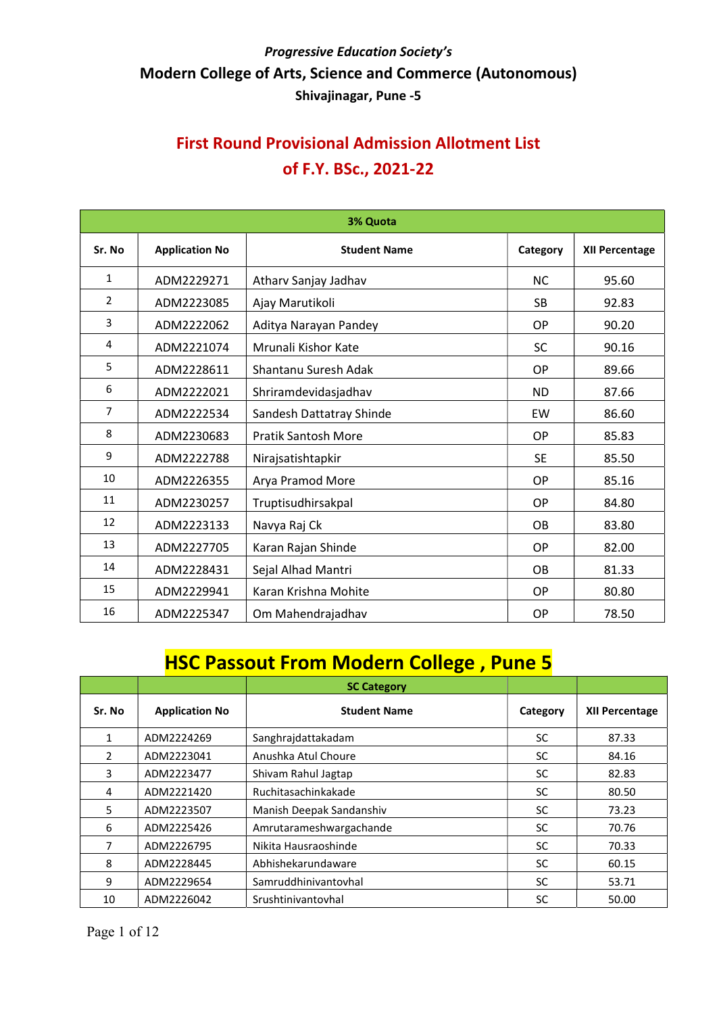# First Round Provisional Admission Allotment List of F.Y. BSc., 2021-22

| 3% Quota       |                       |                            |           |                       |
|----------------|-----------------------|----------------------------|-----------|-----------------------|
| Sr. No         | <b>Application No</b> | <b>Student Name</b>        | Category  | <b>XII Percentage</b> |
| $\mathbf{1}$   | ADM2229271            | Atharv Sanjay Jadhav       | <b>NC</b> | 95.60                 |
| $\overline{2}$ | ADM2223085            | Ajay Marutikoli            | <b>SB</b> | 92.83                 |
| 3              | ADM2222062            | Aditya Narayan Pandey      | OP        | 90.20                 |
| 4              | ADM2221074            | Mrunali Kishor Kate        | <b>SC</b> | 90.16                 |
| 5              | ADM2228611            | Shantanu Suresh Adak       | <b>OP</b> | 89.66                 |
| 6              | ADM2222021            | Shriramdevidasjadhav       | <b>ND</b> | 87.66                 |
| $\overline{7}$ | ADM2222534            | Sandesh Dattatray Shinde   | EW        | 86.60                 |
| 8              | ADM2230683            | <b>Pratik Santosh More</b> | <b>OP</b> | 85.83                 |
| 9              | ADM2222788            | Nirajsatishtapkir          | <b>SE</b> | 85.50                 |
| 10             | ADM2226355            | Arya Pramod More           | <b>OP</b> | 85.16                 |
| 11             | ADM2230257            | Truptisudhirsakpal         | <b>OP</b> | 84.80                 |
| 12             | ADM2223133            | Navya Raj Ck               | <b>OB</b> | 83.80                 |
| 13             | ADM2227705            | Karan Rajan Shinde         | OP        | 82.00                 |
| 14             | ADM2228431            | Sejal Alhad Mantri         | <b>OB</b> | 81.33                 |
| 15             | ADM2229941            | Karan Krishna Mohite       | OP        | 80.80                 |
| 16             | ADM2225347            | Om Mahendrajadhav          | OP        | 78.50                 |

# HSC Passout From Modern College , Pune 5

|               |                       | <b>SC Category</b>       |           |                       |
|---------------|-----------------------|--------------------------|-----------|-----------------------|
| Sr. No        | <b>Application No</b> | <b>Student Name</b>      | Category  | <b>XII Percentage</b> |
|               | ADM2224269            | Sanghrajdattakadam       | <b>SC</b> | 87.33                 |
| $\mathcal{P}$ | ADM2223041            | Anushka Atul Choure      | <b>SC</b> | 84.16                 |
| 3             | ADM2223477            | Shivam Rahul Jagtap      | <b>SC</b> | 82.83                 |
| 4             | ADM2221420            | Ruchitasachinkakade      | <b>SC</b> | 80.50                 |
| 5.            | ADM2223507            | Manish Deepak Sandanshiv | <b>SC</b> | 73.23                 |
| 6             | ADM2225426            | Amrutarameshwargachande  | <b>SC</b> | 70.76                 |
|               | ADM2226795            | Nikita Hausraoshinde     | <b>SC</b> | 70.33                 |
| 8             | ADM2228445            | Abhishekarundaware       | <b>SC</b> | 60.15                 |
| 9             | ADM2229654            | Samruddhinivantovhal     | <b>SC</b> | 53.71                 |
| 10            | ADM2226042            | Srushtinivantovhal       | <b>SC</b> | 50.00                 |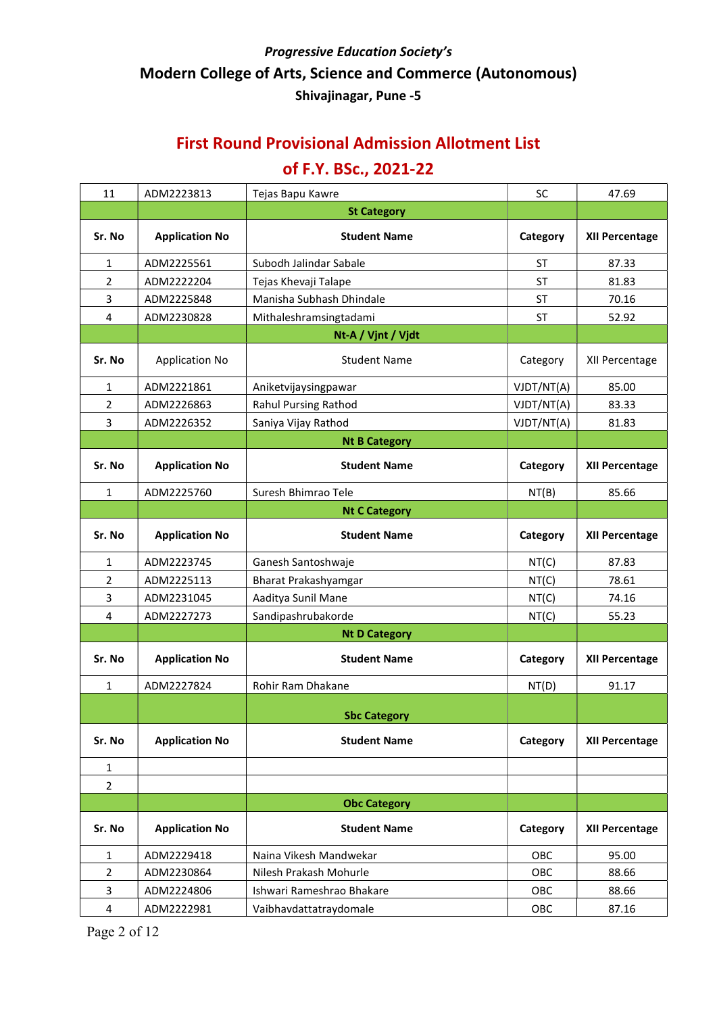#### First Round Provisional Admission Allotment List

| 11             | ADM2223813            | Tejas Bapu Kawre          | <b>SC</b>  | 47.69                 |
|----------------|-----------------------|---------------------------|------------|-----------------------|
|                |                       | <b>St Category</b>        |            |                       |
| Sr. No         | <b>Application No</b> | <b>Student Name</b>       | Category   | <b>XII Percentage</b> |
| 1              | ADM2225561            | Subodh Jalindar Sabale    | <b>ST</b>  | 87.33                 |
| $\overline{2}$ | ADM2222204            | Tejas Khevaji Talape      | <b>ST</b>  | 81.83                 |
| 3              | ADM2225848            | Manisha Subhash Dhindale  | <b>ST</b>  | 70.16                 |
| 4              | ADM2230828            | Mithaleshramsingtadami    | <b>ST</b>  | 52.92                 |
|                |                       | Nt-A / Vjnt / Vjdt        |            |                       |
| Sr. No         | <b>Application No</b> | <b>Student Name</b>       | Category   | XII Percentage        |
| 1              | ADM2221861            | Aniketvijaysingpawar      | VJDT/NT(A) | 85.00                 |
| $\overline{2}$ | ADM2226863            | Rahul Pursing Rathod      | VJDT/NT(A) | 83.33                 |
| 3              | ADM2226352            | Saniya Vijay Rathod       | VJDT/NT(A) | 81.83                 |
|                |                       | <b>Nt B Category</b>      |            |                       |
| Sr. No         | <b>Application No</b> | <b>Student Name</b>       | Category   | <b>XII Percentage</b> |
| $\mathbf{1}$   | ADM2225760            | Suresh Bhimrao Tele       | NT(B)      | 85.66                 |
|                |                       | <b>Nt C Category</b>      |            |                       |
| Sr. No         | <b>Application No</b> | <b>Student Name</b>       | Category   | XII Percentage        |
| $\mathbf{1}$   | ADM2223745            | Ganesh Santoshwaje        | NT(C)      | 87.83                 |
| $\overline{2}$ | ADM2225113            | Bharat Prakashyamgar      | NT(C)      | 78.61                 |
| 3              | ADM2231045            | Aaditya Sunil Mane        | NT(C)      | 74.16                 |
| 4              | ADM2227273            | Sandipashrubakorde        | NT(C)      | 55.23                 |
|                |                       | <b>Nt D Category</b>      |            |                       |
| Sr. No         | <b>Application No</b> | <b>Student Name</b>       | Category   | <b>XII Percentage</b> |
| 1              | ADM2227824            | Rohir Ram Dhakane         | NT(D)      | 91.17                 |
|                |                       | <b>Sbc Category</b>       |            |                       |
| Sr. No         | <b>Application No</b> | <b>Student Name</b>       | Category   | <b>XII Percentage</b> |
| $\mathbf{1}$   |                       |                           |            |                       |
| $\overline{2}$ |                       |                           |            |                       |
|                |                       | <b>Obc Category</b>       |            |                       |
| Sr. No         | <b>Application No</b> | <b>Student Name</b>       | Category   | <b>XII Percentage</b> |
| 1              | ADM2229418            | Naina Vikesh Mandwekar    | OBC        | 95.00                 |
| $\overline{2}$ | ADM2230864            | Nilesh Prakash Mohurle    | OBC        | 88.66                 |
| 3              | ADM2224806            | Ishwari Rameshrao Bhakare | OBC        | 88.66                 |
| 4              | ADM2222981            | Vaibhavdattatraydomale    | OBC        | 87.16                 |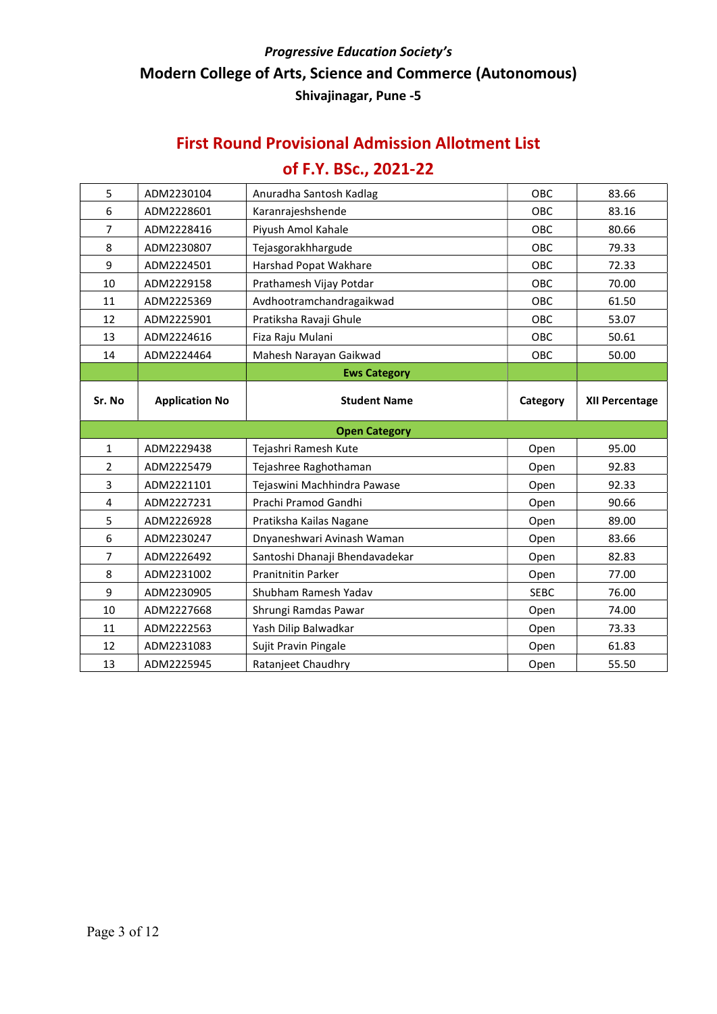#### First Round Provisional Admission Allotment List

| 5              | ADM2230104            | Anuradha Santosh Kadlag        | <b>OBC</b>  | 83.66                 |  |
|----------------|-----------------------|--------------------------------|-------------|-----------------------|--|
| 6              | ADM2228601            | Karanrajeshshende              | <b>OBC</b>  | 83.16                 |  |
| $\overline{7}$ | ADM2228416            | Piyush Amol Kahale             | <b>OBC</b>  | 80.66                 |  |
| 8              | ADM2230807            | Tejasgorakhhargude             | OBC         | 79.33                 |  |
| 9              | ADM2224501            | Harshad Popat Wakhare          | OBC         | 72.33                 |  |
| 10             | ADM2229158            | Prathamesh Vijay Potdar        | <b>OBC</b>  | 70.00                 |  |
| 11             | ADM2225369            | Avdhootramchandragaikwad       | OBC         | 61.50                 |  |
| 12             | ADM2225901            | Pratiksha Ravaji Ghule         | <b>OBC</b>  | 53.07                 |  |
| 13             | ADM2224616            | Fiza Raju Mulani               | <b>OBC</b>  | 50.61                 |  |
| 14             | ADM2224464            | Mahesh Narayan Gaikwad         | <b>OBC</b>  | 50.00                 |  |
|                |                       | <b>Ews Category</b>            |             |                       |  |
| Sr. No         | <b>Application No</b> | <b>Student Name</b>            | Category    | <b>XII Percentage</b> |  |
|                |                       |                                |             |                       |  |
|                |                       | <b>Open Category</b>           |             |                       |  |
| $\mathbf{1}$   | ADM2229438            | Tejashri Ramesh Kute           | Open        | 95.00                 |  |
| $\overline{2}$ | ADM2225479            | Tejashree Raghothaman          | Open        | 92.83                 |  |
| 3              | ADM2221101            | Tejaswini Machhindra Pawase    | Open        | 92.33                 |  |
| 4              | ADM2227231            | Prachi Pramod Gandhi           | Open        | 90.66                 |  |
| 5              | ADM2226928            | Pratiksha Kailas Nagane        | Open        | 89.00                 |  |
| 6              | ADM2230247            | Dnyaneshwari Avinash Waman     | Open        | 83.66                 |  |
| $\overline{7}$ | ADM2226492            | Santoshi Dhanaji Bhendavadekar | Open        | 82.83                 |  |
| 8              | ADM2231002            | <b>Pranitnitin Parker</b>      | Open        | 77.00                 |  |
| 9              | ADM2230905            | Shubham Ramesh Yadav           | <b>SEBC</b> | 76.00                 |  |
| 10             | ADM2227668            | Shrungi Ramdas Pawar           | Open        | 74.00                 |  |
| 11             | ADM2222563            | Yash Dilip Balwadkar           | Open        | 73.33                 |  |
| 12             | ADM2231083            | Sujit Pravin Pingale           | Open        | 61.83                 |  |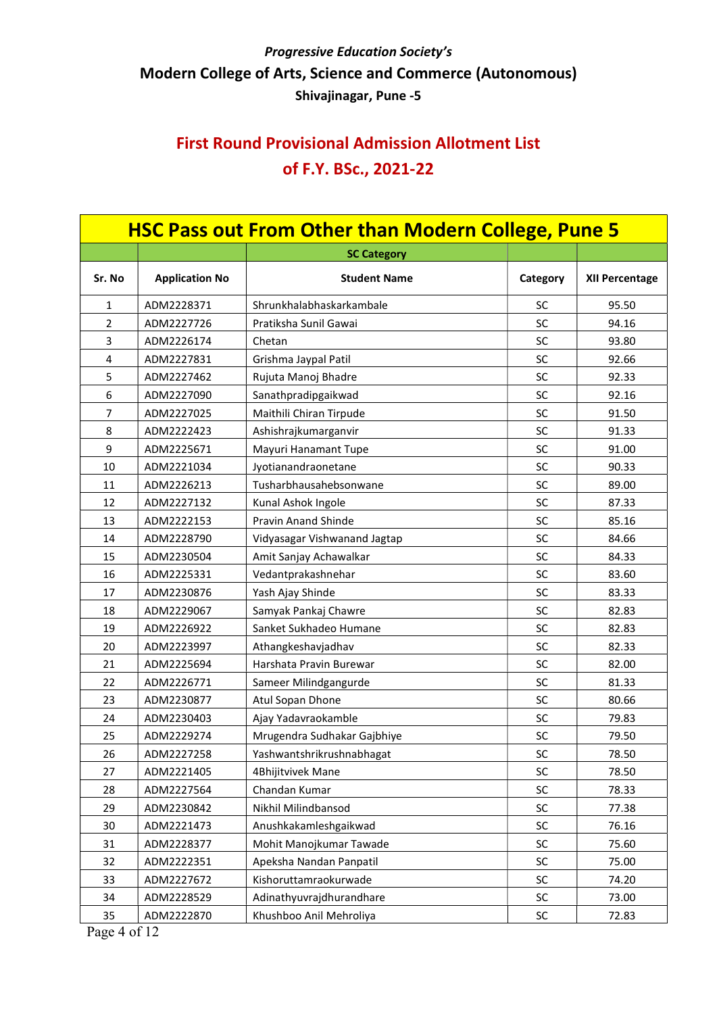# First Round Provisional Admission Allotment List of F.Y. BSc., 2021-22

| <b>HSC Pass out From Other than Modern College, Pune 5</b> |                       |                              |           |                |
|------------------------------------------------------------|-----------------------|------------------------------|-----------|----------------|
|                                                            |                       | <b>SC Category</b>           |           |                |
| Sr. No                                                     | <b>Application No</b> | <b>Student Name</b>          | Category  | XII Percentage |
| $\mathbf{1}$                                               | ADM2228371            | Shrunkhalabhaskarkambale     | <b>SC</b> | 95.50          |
| $\overline{2}$                                             | ADM2227726            | Pratiksha Sunil Gawai        | <b>SC</b> | 94.16          |
| 3                                                          | ADM2226174            | Chetan                       | <b>SC</b> | 93.80          |
| 4                                                          | ADM2227831            | Grishma Jaypal Patil         | SC        | 92.66          |
| 5                                                          | ADM2227462            | Rujuta Manoj Bhadre          | SC        | 92.33          |
| 6                                                          | ADM2227090            | Sanathpradipgaikwad          | <b>SC</b> | 92.16          |
| $\overline{7}$                                             | ADM2227025            | Maithili Chiran Tirpude      | SC        | 91.50          |
| 8                                                          | ADM2222423            | Ashishrajkumarganvir         | SC        | 91.33          |
| 9                                                          | ADM2225671            | Mayuri Hanamant Tupe         | SC        | 91.00          |
| 10                                                         | ADM2221034            | Jyotianandraonetane          | <b>SC</b> | 90.33          |
| 11                                                         | ADM2226213            | Tusharbhausahebsonwane       | SC        | 89.00          |
| 12                                                         | ADM2227132            | Kunal Ashok Ingole           | <b>SC</b> | 87.33          |
| 13                                                         | ADM2222153            | <b>Pravin Anand Shinde</b>   | SC        | 85.16          |
| 14                                                         | ADM2228790            | Vidyasagar Vishwanand Jagtap | SC        | 84.66          |
| 15                                                         | ADM2230504            | Amit Sanjay Achawalkar       | SC        | 84.33          |
| 16                                                         | ADM2225331            | Vedantprakashnehar           | SC        | 83.60          |
| 17                                                         | ADM2230876            | Yash Ajay Shinde             | SC        | 83.33          |
| 18                                                         | ADM2229067            | Samyak Pankaj Chawre         | <b>SC</b> | 82.83          |
| 19                                                         | ADM2226922            | Sanket Sukhadeo Humane       | SC        | 82.83          |
| 20                                                         | ADM2223997            | Athangkeshavjadhav           | SC        | 82.33          |
| 21                                                         | ADM2225694            | Harshata Pravin Burewar      | <b>SC</b> | 82.00          |
| 22                                                         | ADM2226771            | Sameer Milindgangurde        | <b>SC</b> | 81.33          |
| 23                                                         | ADM2230877            | Atul Sopan Dhone             | <b>SC</b> | 80.66          |
| 24                                                         | ADM2230403            | Ajay Yadavraokamble          | <b>SC</b> | 79.83          |
| 25                                                         | ADM2229274            | Mrugendra Sudhakar Gajbhiye  | <b>SC</b> | 79.50          |
| 26                                                         | ADM2227258            | Yashwantshrikrushnabhagat    | SC        | 78.50          |
| 27                                                         | ADM2221405            | 4Bhijitvivek Mane            | <b>SC</b> | 78.50          |
| 28                                                         | ADM2227564            | Chandan Kumar                | <b>SC</b> | 78.33          |
| 29                                                         | ADM2230842            | Nikhil Milindbansod          | <b>SC</b> | 77.38          |
| 30                                                         | ADM2221473            | Anushkakamleshgaikwad        | <b>SC</b> | 76.16          |
| 31                                                         | ADM2228377            | Mohit Manojkumar Tawade      | <b>SC</b> | 75.60          |
| 32                                                         | ADM2222351            | Apeksha Nandan Panpatil      | SC        | 75.00          |
| 33                                                         | ADM2227672            | Kishoruttamraokurwade        | <b>SC</b> | 74.20          |
| 34                                                         | ADM2228529            | Adinathyuvrajdhurandhare     | <b>SC</b> | 73.00          |
| 35                                                         | ADM2222870            | Khushboo Anil Mehroliya      | SC        | 72.83          |

Page 4 of 12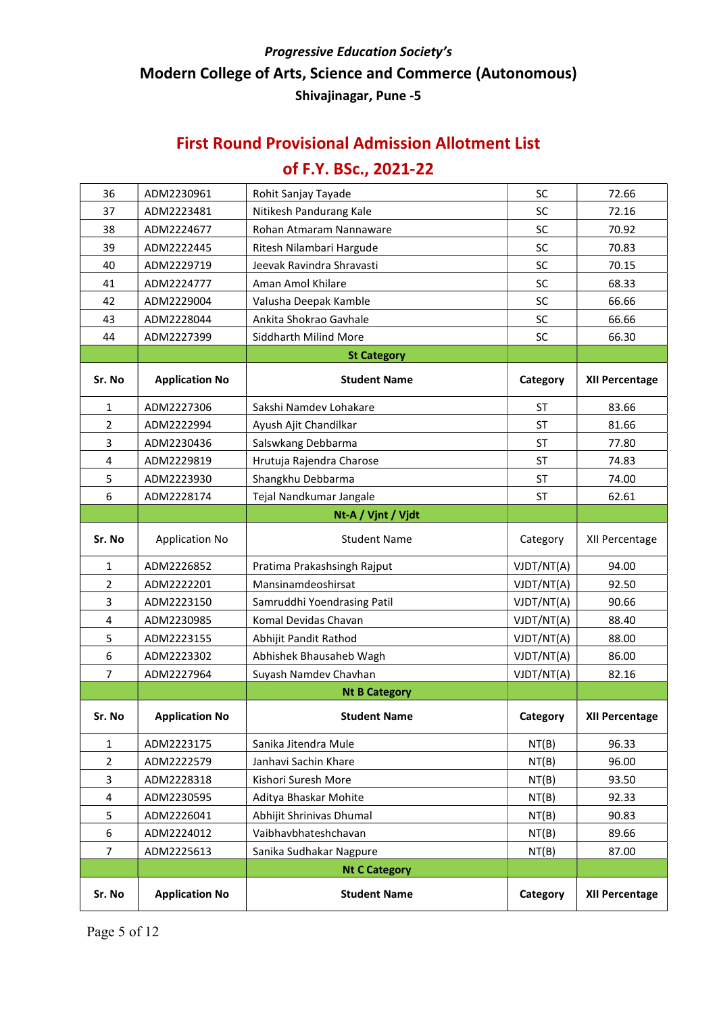#### First Round Provisional Admission Allotment List

| 36                      | ADM2230961            | Rohit Sanjay Tayade         | <b>SC</b>  | 72.66                 |
|-------------------------|-----------------------|-----------------------------|------------|-----------------------|
| 37                      | ADM2223481            | Nitikesh Pandurang Kale     | SC         | 72.16                 |
| 38                      | ADM2224677            | Rohan Atmaram Nannaware     | SC         | 70.92                 |
| 39                      | ADM2222445            | Ritesh Nilambari Hargude    | <b>SC</b>  | 70.83                 |
| 40                      | ADM2229719            | Jeevak Ravindra Shravasti   | SC         | 70.15                 |
| 41                      | ADM2224777            | Aman Amol Khilare           | <b>SC</b>  | 68.33                 |
| 42                      | ADM2229004            | Valusha Deepak Kamble       | SC         | 66.66                 |
| 43                      | ADM2228044            | Ankita Shokrao Gavhale      | SC         | 66.66                 |
| 44                      | ADM2227399            | Siddharth Milind More       | SC         | 66.30                 |
|                         |                       | <b>St Category</b>          |            |                       |
| Sr. No                  | <b>Application No</b> | <b>Student Name</b>         | Category   | <b>XII Percentage</b> |
| $\mathbf{1}$            | ADM2227306            | Sakshi Namdev Lohakare      | <b>ST</b>  | 83.66                 |
| 2                       | ADM2222994            | Ayush Ajit Chandilkar       | <b>ST</b>  | 81.66                 |
| 3                       | ADM2230436            | Salswkang Debbarma          | ST         | 77.80                 |
| $\overline{\mathbf{4}}$ | ADM2229819            | Hrutuja Rajendra Charose    | <b>ST</b>  | 74.83                 |
| 5                       | ADM2223930            | Shangkhu Debbarma           | ST         | 74.00                 |
| 6                       | ADM2228174            | Tejal Nandkumar Jangale     | ST         | 62.61                 |
|                         |                       | Nt-A / Vjnt / Vjdt          |            |                       |
| Sr. No                  | <b>Application No</b> | <b>Student Name</b>         | Category   | XII Percentage        |
| $\mathbf{1}$            | ADM2226852            | Pratima Prakashsingh Rajput | VJDT/NT(A) | 94.00                 |
| $\overline{2}$          | ADM2222201            | Mansinamdeoshirsat          | VJDT/NT(A) | 92.50                 |
| 3                       | ADM2223150            | Samruddhi Yoendrasing Patil | VJDT/NT(A) | 90.66                 |
| $\overline{\mathbf{4}}$ | ADM2230985            | Komal Devidas Chavan        | VJDT/NT(A) | 88.40                 |
| 5                       | ADM2223155            | Abhijit Pandit Rathod       | VJDT/NT(A) | 88.00                 |
| 6                       | ADM2223302            | Abhishek Bhausaheb Wagh     | VJDT/NT(A) | 86.00                 |
| $\overline{7}$          | ADM2227964            | Suyash Namdev Chavhan       | VJDT/NT(A) | 82.16                 |
|                         |                       | <b>Nt B Category</b>        |            |                       |
| Sr. No                  | <b>Application No</b> | <b>Student Name</b>         | Category   | <b>XII Percentage</b> |
| 1                       | ADM2223175            | Sanika Jitendra Mule        | NT(B)      | 96.33                 |
| $\overline{2}$          | ADM2222579            | Janhavi Sachin Khare        | NT(B)      | 96.00                 |
| 3                       | ADM2228318            | Kishori Suresh More         | NT(B)      | 93.50                 |
| 4                       | ADM2230595            | Aditya Bhaskar Mohite       | NT(B)      | 92.33                 |
| 5                       | ADM2226041            | Abhijit Shrinivas Dhumal    | NT(B)      | 90.83                 |
| 6                       | ADM2224012            | Vaibhavbhateshchavan        | NT(B)      | 89.66                 |
| $\overline{7}$          | ADM2225613            | Sanika Sudhakar Nagpure     | NT(B)      | 87.00                 |
|                         |                       | <b>Nt C Category</b>        |            |                       |
| Sr. No                  | <b>Application No</b> | <b>Student Name</b>         | Category   | XII Percentage        |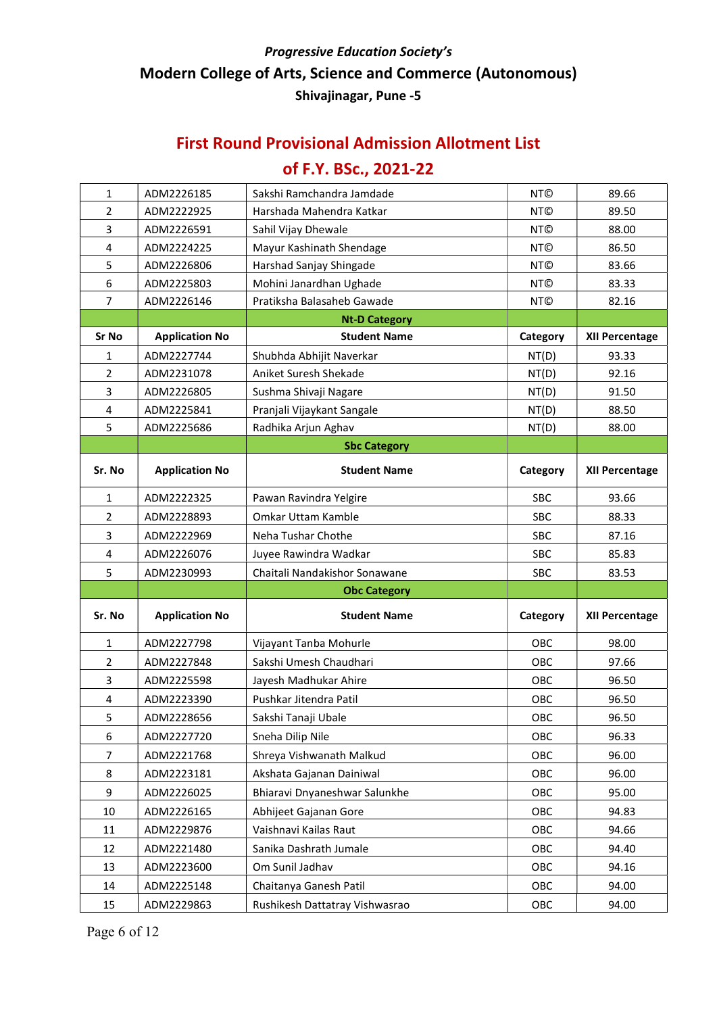#### First Round Provisional Admission Allotment List

| $\mathbf{1}$   | ADM2226185            | Sakshi Ramchandra Jamdade      | <b>NT©</b> | 89.66                 |
|----------------|-----------------------|--------------------------------|------------|-----------------------|
| $\overline{2}$ | ADM2222925            | Harshada Mahendra Katkar       | <b>NT©</b> | 89.50                 |
| 3              | ADM2226591            | Sahil Vijay Dhewale            | <b>NT©</b> | 88.00                 |
| 4              | ADM2224225            | Mayur Kashinath Shendage       | <b>NT©</b> | 86.50                 |
| 5              | ADM2226806            | Harshad Sanjay Shingade        | <b>NT©</b> | 83.66                 |
| 6              | ADM2225803            | Mohini Janardhan Ughade        | <b>NT©</b> | 83.33                 |
| $\overline{7}$ | ADM2226146            | Pratiksha Balasaheb Gawade     | <b>NT©</b> | 82.16                 |
|                |                       | <b>Nt-D Category</b>           |            |                       |
| <b>Sr No</b>   | <b>Application No</b> | <b>Student Name</b>            | Category   | <b>XII Percentage</b> |
| 1              | ADM2227744            | Shubhda Abhijit Naverkar       | NT(D)      | 93.33                 |
| $\overline{2}$ | ADM2231078            | Aniket Suresh Shekade          | NT(D)      | 92.16                 |
| 3              | ADM2226805            | Sushma Shivaji Nagare          | NT(D)      | 91.50                 |
| 4              | ADM2225841            | Pranjali Vijaykant Sangale     | NT(D)      | 88.50                 |
| 5              | ADM2225686            | Radhika Arjun Aghav            | NT(D)      | 88.00                 |
|                |                       | <b>Sbc Category</b>            |            |                       |
| Sr. No         | <b>Application No</b> | <b>Student Name</b>            | Category   | <b>XII Percentage</b> |
| 1              | ADM2222325            | Pawan Ravindra Yelgire         | <b>SBC</b> | 93.66                 |
| $\overline{2}$ | ADM2228893            | Omkar Uttam Kamble             | SBC        | 88.33                 |
| 3              | ADM2222969            | Neha Tushar Chothe             | <b>SBC</b> | 87.16                 |
| 4              | ADM2226076            | Juyee Rawindra Wadkar          | <b>SBC</b> | 85.83                 |
| 5              | ADM2230993            | Chaitali Nandakishor Sonawane  | <b>SBC</b> | 83.53                 |
|                |                       | <b>Obc Category</b>            |            |                       |
| Sr. No         | <b>Application No</b> | <b>Student Name</b>            | Category   | <b>XII Percentage</b> |
| $\mathbf{1}$   | ADM2227798            | Vijayant Tanba Mohurle         | OBC        | 98.00                 |
| $\overline{2}$ | ADM2227848            | Sakshi Umesh Chaudhari         | <b>OBC</b> | 97.66                 |
| 3              | ADM2225598            | Jayesh Madhukar Ahire          | <b>OBC</b> | 96.50                 |
| 4              | ADM2223390            | Pushkar Jitendra Patil         | OBC        | 96.50                 |
| 5              | ADM2228656            | Sakshi Tanaji Ubale            | OBC        | 96.50                 |
| 6              | ADM2227720            | Sneha Dilip Nile               | OBC        | 96.33                 |
| 7              | ADM2221768            | Shreya Vishwanath Malkud       | OBC        | 96.00                 |
| 8              | ADM2223181            | Akshata Gajanan Dainiwal       | OBC        | 96.00                 |
| 9              | ADM2226025            | Bhiaravi Dnyaneshwar Salunkhe  | OBC        | 95.00                 |
| 10             | ADM2226165            | Abhijeet Gajanan Gore          | OBC        | 94.83                 |
| 11             | ADM2229876            | Vaishnavi Kailas Raut          | OBC        | 94.66                 |
| 12             | ADM2221480            | Sanika Dashrath Jumale         | OBC        | 94.40                 |
| 13             | ADM2223600            | Om Sunil Jadhav                | OBC        | 94.16                 |
| 14             | ADM2225148            | Chaitanya Ganesh Patil         | OBC        | 94.00                 |
| 15             | ADM2229863            | Rushikesh Dattatray Vishwasrao | OBC        | 94.00                 |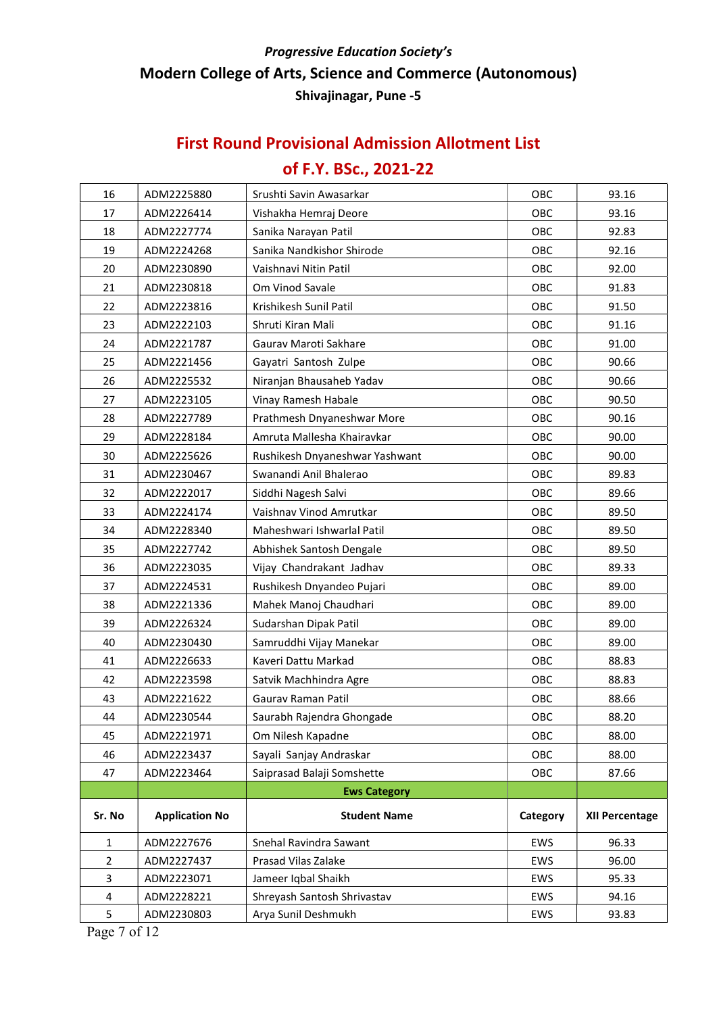## First Round Provisional Admission Allotment List

| 16             | ADM2225880            | Srushti Savin Awasarkar        | OBC        | 93.16                 |
|----------------|-----------------------|--------------------------------|------------|-----------------------|
| 17             | ADM2226414            | Vishakha Hemraj Deore          | OBC        | 93.16                 |
| 18             | ADM2227774            | Sanika Narayan Patil           | OBC        | 92.83                 |
| 19             | ADM2224268            | Sanika Nandkishor Shirode      | OBC        | 92.16                 |
| 20             | ADM2230890            | Vaishnavi Nitin Patil          | OBC        | 92.00                 |
| 21             | ADM2230818            | Om Vinod Savale                | OBC        | 91.83                 |
| 22             | ADM2223816            | Krishikesh Sunil Patil         | OBC        | 91.50                 |
| 23             | ADM2222103            | Shruti Kiran Mali              | OBC        | 91.16                 |
| 24             | ADM2221787            | Gaurav Maroti Sakhare          | OBC        | 91.00                 |
| 25             | ADM2221456            | Gayatri Santosh Zulpe          | OBC        | 90.66                 |
| 26             | ADM2225532            | Niranjan Bhausaheb Yadav       | OBC        | 90.66                 |
| 27             | ADM2223105            | Vinay Ramesh Habale            | OBC        | 90.50                 |
| 28             | ADM2227789            | Prathmesh Dnyaneshwar More     | OBC        | 90.16                 |
| 29             | ADM2228184            | Amruta Mallesha Khairavkar     | OBC        | 90.00                 |
| 30             | ADM2225626            | Rushikesh Dnyaneshwar Yashwant | OBC        | 90.00                 |
| 31             | ADM2230467            | Swanandi Anil Bhalerao         | <b>OBC</b> | 89.83                 |
| 32             | ADM2222017            | Siddhi Nagesh Salvi            | OBC        | 89.66                 |
| 33             | ADM2224174            | Vaishnav Vinod Amrutkar        | OBC        | 89.50                 |
| 34             | ADM2228340            | Maheshwari Ishwarlal Patil     | OBC        | 89.50                 |
| 35             | ADM2227742            | Abhishek Santosh Dengale       | OBC        | 89.50                 |
| 36             | ADM2223035            | Vijay Chandrakant Jadhav       | OBC        | 89.33                 |
| 37             | ADM2224531            | Rushikesh Dnyandeo Pujari      | OBC        | 89.00                 |
| 38             | ADM2221336            | Mahek Manoj Chaudhari          | OBC        | 89.00                 |
| 39             | ADM2226324            | Sudarshan Dipak Patil          | OBC        | 89.00                 |
| 40             | ADM2230430            | Samruddhi Vijay Manekar        | OBC        | 89.00                 |
| 41             | ADM2226633            | Kaveri Dattu Markad            | OBC        | 88.83                 |
| 42             | ADM2223598            | Satvik Machhindra Agre         | OBC        | 88.83                 |
| 43             | ADM2221622            | Gauray Raman Patil             | OBC        | 88.66                 |
| 44             | ADM2230544            | Saurabh Rajendra Ghongade      | OBC        | 88.20                 |
| 45             | ADM2221971            | Om Nilesh Kapadne              | OBC        | 88.00                 |
| 46             | ADM2223437            | Sayali Sanjay Andraskar        | OBC        | 88.00                 |
| 47             | ADM2223464            | Saiprasad Balaji Somshette     | OBC        | 87.66                 |
|                |                       | <b>Ews Category</b>            |            |                       |
| Sr. No         | <b>Application No</b> | <b>Student Name</b>            | Category   | <b>XII Percentage</b> |
| $\mathbf{1}$   | ADM2227676            | Snehal Ravindra Sawant         | EWS        | 96.33                 |
| $\overline{2}$ | ADM2227437            | Prasad Vilas Zalake            | EWS        | 96.00                 |
| 3              | ADM2223071            | Jameer Iqbal Shaikh            | EWS        | 95.33                 |
| 4              | ADM2228221            | Shreyash Santosh Shrivastav    | EWS        | 94.16                 |
| 5              | ADM2230803            | Arya Sunil Deshmukh            | EWS        | 93.83                 |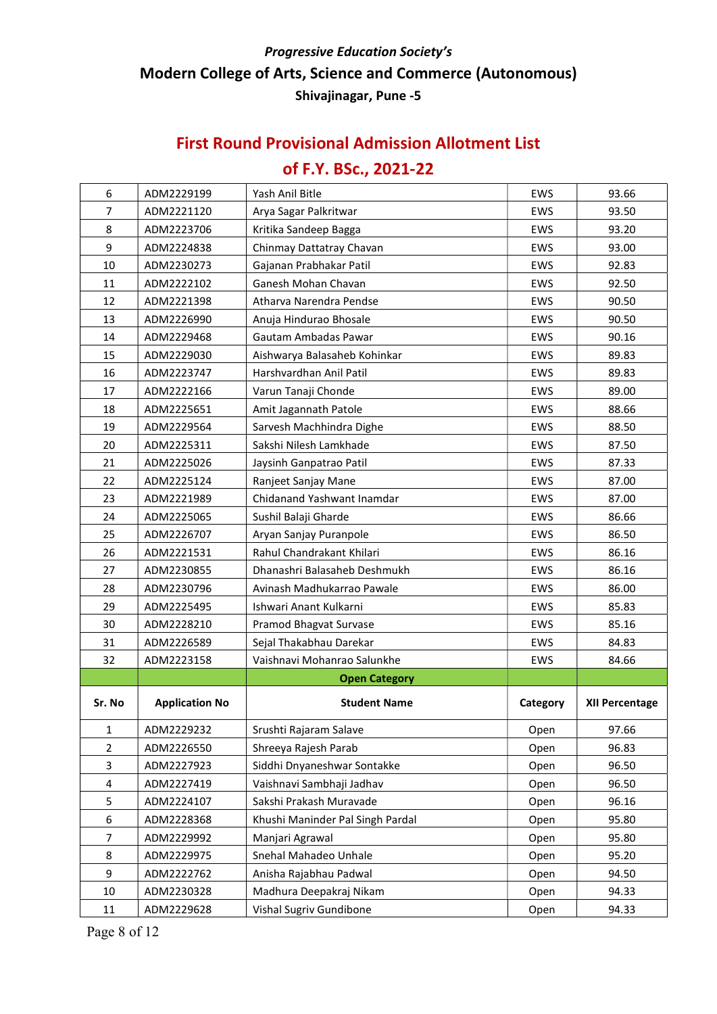#### First Round Provisional Admission Allotment List

# of F.Y. BSc., 2021-22

| 6              | ADM2229199            | Yash Anil Bitle                  | <b>EWS</b> | 93.66                 |
|----------------|-----------------------|----------------------------------|------------|-----------------------|
| $\overline{7}$ | ADM2221120            | Arya Sagar Palkritwar            | <b>EWS</b> | 93.50                 |
| 8              | ADM2223706            | Kritika Sandeep Bagga            | <b>EWS</b> | 93.20                 |
| 9              | ADM2224838            | Chinmay Dattatray Chavan         | EWS        | 93.00                 |
| 10             | ADM2230273            | Gajanan Prabhakar Patil          | EWS        | 92.83                 |
| 11             | ADM2222102            | Ganesh Mohan Chavan              | EWS        | 92.50                 |
| 12             | ADM2221398            | Atharva Narendra Pendse          | EWS        | 90.50                 |
| 13             | ADM2226990            | Anuja Hindurao Bhosale           | EWS        | 90.50                 |
| 14             | ADM2229468            | Gautam Ambadas Pawar             | EWS        | 90.16                 |
| 15             | ADM2229030            | Aishwarya Balasaheb Kohinkar     | <b>EWS</b> | 89.83                 |
| 16             | ADM2223747            | Harshvardhan Anil Patil          | EWS        | 89.83                 |
| 17             | ADM2222166            | Varun Tanaji Chonde              | EWS        | 89.00                 |
| 18             | ADM2225651            | Amit Jagannath Patole            | EWS        | 88.66                 |
| 19             | ADM2229564            | Sarvesh Machhindra Dighe         | EWS        | 88.50                 |
| 20             | ADM2225311            | Sakshi Nilesh Lamkhade           | <b>EWS</b> | 87.50                 |
| 21             | ADM2225026            | Jaysinh Ganpatrao Patil          | EWS        | 87.33                 |
| 22             | ADM2225124            | Ranjeet Sanjay Mane              | <b>EWS</b> | 87.00                 |
| 23             | ADM2221989            | Chidanand Yashwant Inamdar       | EWS        | 87.00                 |
| 24             | ADM2225065            | Sushil Balaji Gharde             | <b>EWS</b> | 86.66                 |
| 25             | ADM2226707            | Aryan Sanjay Puranpole           | EWS        | 86.50                 |
| 26             | ADM2221531            | Rahul Chandrakant Khilari        | EWS        | 86.16                 |
| 27             | ADM2230855            | Dhanashri Balasaheb Deshmukh     | EWS        | 86.16                 |
| 28             | ADM2230796            | Avinash Madhukarrao Pawale       | EWS        | 86.00                 |
| 29             | ADM2225495            | Ishwari Anant Kulkarni           | EWS        | 85.83                 |
| 30             | ADM2228210            | Pramod Bhagvat Survase           | EWS        | 85.16                 |
| 31             | ADM2226589            | Sejal Thakabhau Darekar          | EWS        | 84.83                 |
| 32             | ADM2223158            | Vaishnavi Mohanrao Salunkhe      | EWS        | 84.66                 |
|                |                       | <b>Open Category</b>             |            |                       |
| Sr. No         | <b>Application No</b> | <b>Student Name</b>              | Category   | <b>XII Percentage</b> |
| 1              | ADM2229232            | Srushti Rajaram Salave           | Open       | 97.66                 |
| $\overline{2}$ | ADM2226550            | Shreeya Rajesh Parab             | Open       | 96.83                 |
| 3              | ADM2227923            | Siddhi Dnyaneshwar Sontakke      | Open       | 96.50                 |
| 4              | ADM2227419            | Vaishnavi Sambhaji Jadhav        | Open       | 96.50                 |
| 5              | ADM2224107            | Sakshi Prakash Muravade          | Open       | 96.16                 |
| 6              | ADM2228368            | Khushi Maninder Pal Singh Pardal | Open       | 95.80                 |
| 7              | ADM2229992            | Manjari Agrawal                  | Open       | 95.80                 |
| 8              | ADM2229975            | Snehal Mahadeo Unhale            | Open       | 95.20                 |
| 9              | ADM2222762            | Anisha Rajabhau Padwal           | Open       | 94.50                 |
| 10             | ADM2230328            | Madhura Deepakraj Nikam          | Open       | 94.33                 |
| 11             | ADM2229628            | Vishal Sugriv Gundibone          | Open       | 94.33                 |

Page 8 of 12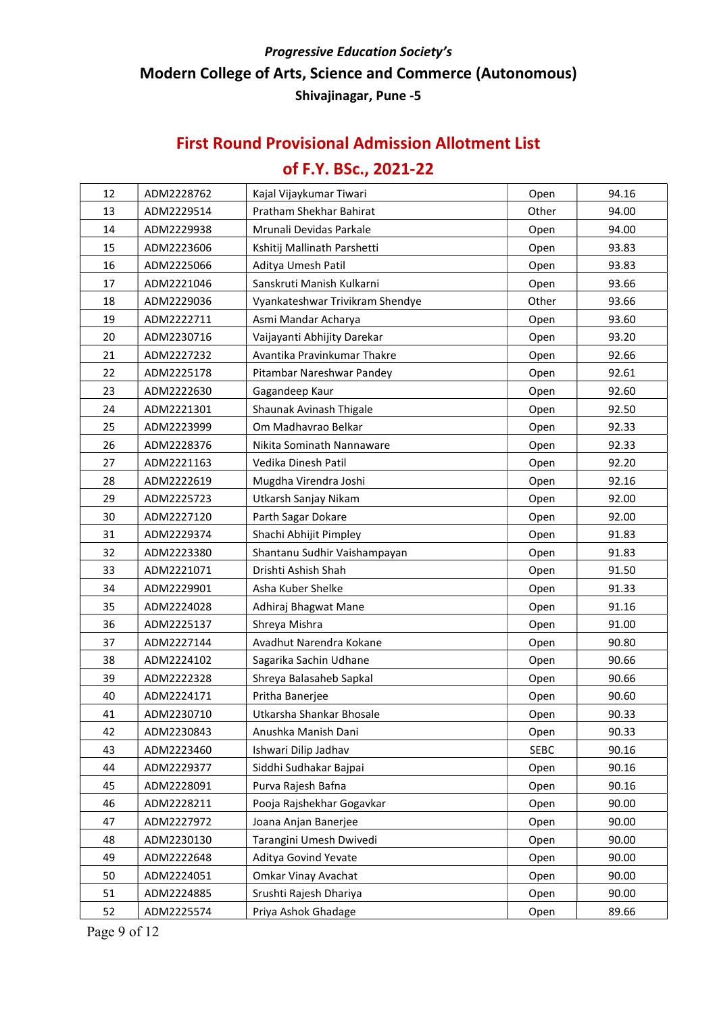#### First Round Provisional Admission Allotment List

# of F.Y. BSc., 2021-22

| 12 | ADM2228762 | Kajal Vijaykumar Tiwari         | Open        | 94.16 |
|----|------------|---------------------------------|-------------|-------|
| 13 | ADM2229514 | Pratham Shekhar Bahirat         | Other       | 94.00 |
| 14 | ADM2229938 | Mrunali Devidas Parkale         | Open        | 94.00 |
| 15 | ADM2223606 | Kshitij Mallinath Parshetti     | Open        | 93.83 |
| 16 | ADM2225066 | Aditya Umesh Patil              | Open        | 93.83 |
| 17 | ADM2221046 | Sanskruti Manish Kulkarni       | Open        | 93.66 |
| 18 | ADM2229036 | Vyankateshwar Trivikram Shendye | Other       | 93.66 |
| 19 | ADM2222711 | Asmi Mandar Acharya             | Open        | 93.60 |
| 20 | ADM2230716 | Vaijayanti Abhijity Darekar     | Open        | 93.20 |
| 21 | ADM2227232 | Avantika Pravinkumar Thakre     | Open        | 92.66 |
| 22 | ADM2225178 | Pitambar Nareshwar Pandey       | Open        | 92.61 |
| 23 | ADM2222630 | Gagandeep Kaur                  | Open        | 92.60 |
| 24 | ADM2221301 | Shaunak Avinash Thigale         | Open        | 92.50 |
| 25 | ADM2223999 | Om Madhavrao Belkar             | Open        | 92.33 |
| 26 | ADM2228376 | Nikita Sominath Nannaware       | Open        | 92.33 |
| 27 | ADM2221163 | Vedika Dinesh Patil             | Open        | 92.20 |
| 28 | ADM2222619 | Mugdha Virendra Joshi           | Open        | 92.16 |
| 29 | ADM2225723 | Utkarsh Sanjay Nikam            | Open        | 92.00 |
| 30 | ADM2227120 | Parth Sagar Dokare              | Open        | 92.00 |
| 31 | ADM2229374 | Shachi Abhijit Pimpley          | Open        | 91.83 |
| 32 | ADM2223380 | Shantanu Sudhir Vaishampayan    | Open        | 91.83 |
| 33 | ADM2221071 | Drishti Ashish Shah             | Open        | 91.50 |
| 34 | ADM2229901 | Asha Kuber Shelke               | Open        | 91.33 |
| 35 | ADM2224028 | Adhiraj Bhagwat Mane            | Open        | 91.16 |
| 36 | ADM2225137 | Shreya Mishra                   | Open        | 91.00 |
| 37 | ADM2227144 | Avadhut Narendra Kokane         | Open        | 90.80 |
| 38 | ADM2224102 | Sagarika Sachin Udhane          | Open        | 90.66 |
| 39 | ADM2222328 | Shreya Balasaheb Sapkal         | Open        | 90.66 |
| 40 | ADM2224171 | Pritha Banerjee                 | Open        | 90.60 |
| 41 | ADM2230710 | Utkarsha Shankar Bhosale        | Open        | 90.33 |
| 42 | ADM2230843 | Anushka Manish Dani             | Open        | 90.33 |
| 43 | ADM2223460 | Ishwari Dilip Jadhav            | <b>SEBC</b> | 90.16 |
| 44 | ADM2229377 | Siddhi Sudhakar Bajpai          | Open        | 90.16 |
| 45 | ADM2228091 | Purva Rajesh Bafna              | Open        | 90.16 |
| 46 | ADM2228211 | Pooja Rajshekhar Gogavkar       | Open        | 90.00 |
| 47 | ADM2227972 | Joana Anjan Banerjee            | Open        | 90.00 |
| 48 | ADM2230130 | Tarangini Umesh Dwivedi         | Open        | 90.00 |
| 49 | ADM2222648 | Aditya Govind Yevate            | Open        | 90.00 |
| 50 | ADM2224051 | <b>Omkar Vinay Avachat</b>      | Open        | 90.00 |
| 51 | ADM2224885 | Srushti Rajesh Dhariya          | Open        | 90.00 |
| 52 | ADM2225574 | Priya Ashok Ghadage             | Open        | 89.66 |

Page 9 of 12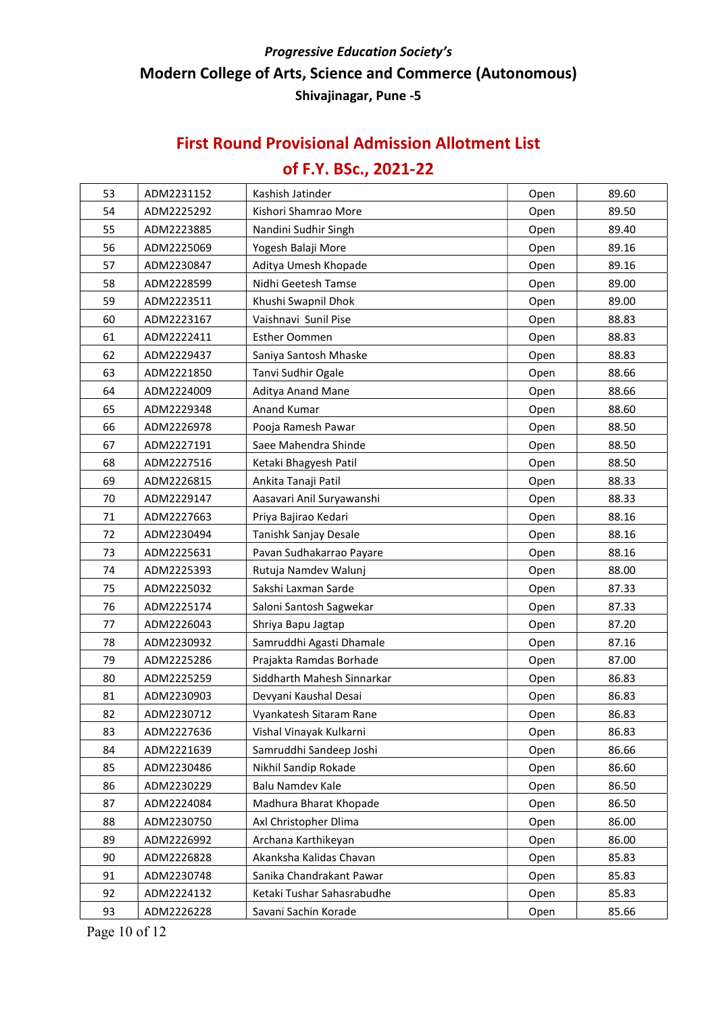#### First Round Provisional Admission Allotment List

# of F.Y. BSc., 2021-22

| 53 | ADM2231152 | Kashish Jatinder           | Open | 89.60 |
|----|------------|----------------------------|------|-------|
| 54 | ADM2225292 | Kishori Shamrao More       | Open | 89.50 |
| 55 | ADM2223885 | Nandini Sudhir Singh       | Open | 89.40 |
| 56 | ADM2225069 | Yogesh Balaji More         | Open | 89.16 |
| 57 | ADM2230847 | Aditya Umesh Khopade       | Open | 89.16 |
| 58 | ADM2228599 | Nidhi Geetesh Tamse        | Open | 89.00 |
| 59 | ADM2223511 | Khushi Swapnil Dhok        | Open | 89.00 |
| 60 | ADM2223167 | Vaishnavi Sunil Pise       | Open | 88.83 |
| 61 | ADM2222411 | <b>Esther Oommen</b>       | Open | 88.83 |
| 62 | ADM2229437 | Saniya Santosh Mhaske      | Open | 88.83 |
| 63 | ADM2221850 | Tanvi Sudhir Ogale         | Open | 88.66 |
| 64 | ADM2224009 | Aditya Anand Mane          | Open | 88.66 |
| 65 | ADM2229348 | Anand Kumar                | Open | 88.60 |
| 66 | ADM2226978 | Pooja Ramesh Pawar         | Open | 88.50 |
| 67 | ADM2227191 | Saee Mahendra Shinde       | Open | 88.50 |
| 68 | ADM2227516 | Ketaki Bhagyesh Patil      | Open | 88.50 |
| 69 | ADM2226815 | Ankita Tanaji Patil        | Open | 88.33 |
| 70 | ADM2229147 | Aasavari Anil Suryawanshi  | Open | 88.33 |
| 71 | ADM2227663 | Priya Bajirao Kedari       | Open | 88.16 |
| 72 | ADM2230494 | Tanishk Sanjay Desale      | Open | 88.16 |
| 73 | ADM2225631 | Pavan Sudhakarrao Payare   | Open | 88.16 |
| 74 | ADM2225393 | Rutuja Namdev Walunj       | Open | 88.00 |
| 75 | ADM2225032 | Sakshi Laxman Sarde        | Open | 87.33 |
| 76 | ADM2225174 | Saloni Santosh Sagwekar    | Open | 87.33 |
| 77 | ADM2226043 | Shriya Bapu Jagtap         | Open | 87.20 |
| 78 | ADM2230932 | Samruddhi Agasti Dhamale   | Open | 87.16 |
| 79 | ADM2225286 | Prajakta Ramdas Borhade    | Open | 87.00 |
| 80 | ADM2225259 | Siddharth Mahesh Sinnarkar | Open | 86.83 |
| 81 | ADM2230903 | Devyani Kaushal Desai      | Open | 86.83 |
| 82 | ADM2230712 | Vyankatesh Sitaram Rane    | Open | 86.83 |
| 83 | ADM2227636 | Vishal Vinayak Kulkarni    | Open | 86.83 |
| 84 | ADM2221639 | Samruddhi Sandeep Joshi    | Open | 86.66 |
| 85 | ADM2230486 | Nikhil Sandip Rokade       | Open | 86.60 |
| 86 | ADM2230229 | Balu Namdev Kale           | Open | 86.50 |
| 87 | ADM2224084 | Madhura Bharat Khopade     | Open | 86.50 |
| 88 | ADM2230750 | Axl Christopher Dlima      | Open | 86.00 |
| 89 | ADM2226992 | Archana Karthikeyan        | Open | 86.00 |
| 90 | ADM2226828 | Akanksha Kalidas Chavan    | Open | 85.83 |
| 91 | ADM2230748 | Sanika Chandrakant Pawar   | Open | 85.83 |
| 92 | ADM2224132 | Ketaki Tushar Sahasrabudhe | Open | 85.83 |
| 93 | ADM2226228 | Savani Sachin Korade       | Open | 85.66 |

Page 10 of 12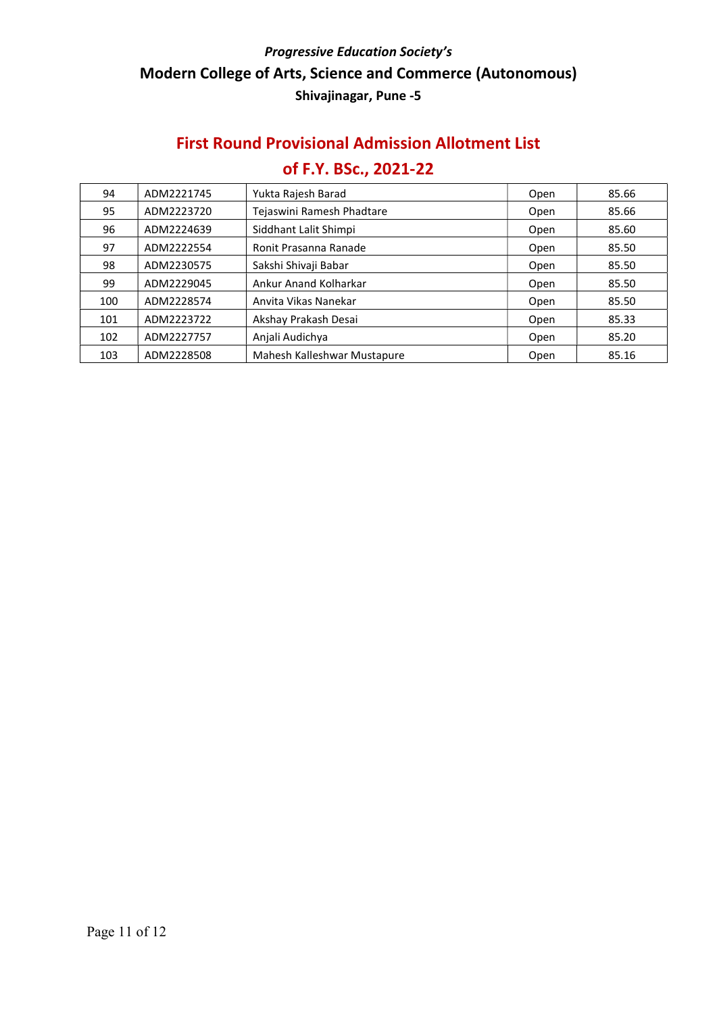#### First Round Provisional Admission Allotment List

| 94  | ADM2221745 | Yukta Rajesh Barad          | Open | 85.66 |
|-----|------------|-----------------------------|------|-------|
| 95  | ADM2223720 | Tejaswini Ramesh Phadtare   | Open | 85.66 |
| 96  | ADM2224639 | Siddhant Lalit Shimpi       | Open | 85.60 |
| 97  | ADM2222554 | Ronit Prasanna Ranade       | Open | 85.50 |
| 98  | ADM2230575 | Sakshi Shivaji Babar        | Open | 85.50 |
| 99  | ADM2229045 | Ankur Anand Kolharkar       | Open | 85.50 |
| 100 | ADM2228574 | Anvita Vikas Nanekar        | Open | 85.50 |
| 101 | ADM2223722 | Akshay Prakash Desai        | Open | 85.33 |
| 102 | ADM2227757 | Anjali Audichya             | Open | 85.20 |
| 103 | ADM2228508 | Mahesh Kalleshwar Mustapure | Open | 85.16 |